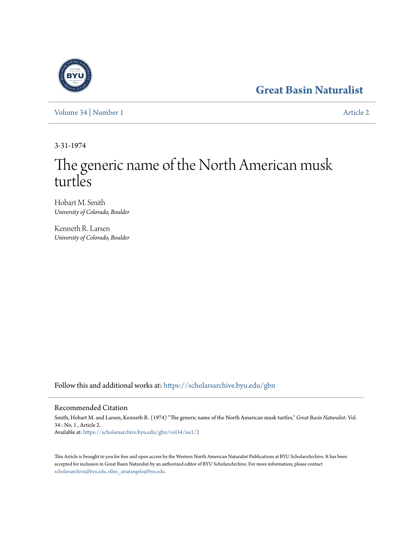## **[Great Basin Naturalist](https://scholarsarchive.byu.edu/gbn?utm_source=scholarsarchive.byu.edu%2Fgbn%2Fvol34%2Fiss1%2F2&utm_medium=PDF&utm_campaign=PDFCoverPages)**

[Volume 34](https://scholarsarchive.byu.edu/gbn/vol34?utm_source=scholarsarchive.byu.edu%2Fgbn%2Fvol34%2Fiss1%2F2&utm_medium=PDF&utm_campaign=PDFCoverPages) | [Number 1](https://scholarsarchive.byu.edu/gbn/vol34/iss1?utm_source=scholarsarchive.byu.edu%2Fgbn%2Fvol34%2Fiss1%2F2&utm_medium=PDF&utm_campaign=PDFCoverPages) [Article 2](https://scholarsarchive.byu.edu/gbn/vol34/iss1/2?utm_source=scholarsarchive.byu.edu%2Fgbn%2Fvol34%2Fiss1%2F2&utm_medium=PDF&utm_campaign=PDFCoverPages)

3-31-1974

# The generic name of the North American musk turtles

Hobart M. Smith *University of Colorado, Boulder*

Kenneth R. Larsen *University of Colorado, Boulder*

Follow this and additional works at: [https://scholarsarchive.byu.edu/gbn](https://scholarsarchive.byu.edu/gbn?utm_source=scholarsarchive.byu.edu%2Fgbn%2Fvol34%2Fiss1%2F2&utm_medium=PDF&utm_campaign=PDFCoverPages)

### Recommended Citation

Smith, Hobart M. and Larsen, Kenneth R. (1974) "The generic name of the North American musk turtles," *Great Basin Naturalist*: Vol. 34 : No. 1 , Article 2. Available at: [https://scholarsarchive.byu.edu/gbn/vol34/iss1/2](https://scholarsarchive.byu.edu/gbn/vol34/iss1/2?utm_source=scholarsarchive.byu.edu%2Fgbn%2Fvol34%2Fiss1%2F2&utm_medium=PDF&utm_campaign=PDFCoverPages)

This Article is brought to you for free and open access by the Western North American Naturalist Publications at BYU ScholarsArchive. It has been accepted for inclusion in Great Basin Naturalist by an authorized editor of BYU ScholarsArchive. For more information, please contact [scholarsarchive@byu.edu, ellen\\_amatangelo@byu.edu.](mailto:scholarsarchive@byu.edu,%20ellen_amatangelo@byu.edu)

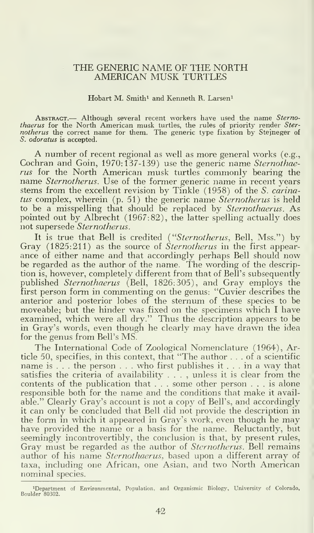#### THE GENERIC NAME OF THE NORTH AMERICAN MUSK TURTLES

#### Hobart M. Smith<sup>1</sup> and Kenneth R. Larsen<sup>1</sup>

ABSTRACT. Although several recent workers have used the name Sternot*haerus* for the North American musk turtles, the rules of priority render *Ster-notherus* the correct name for them. The generic type fixation by Stejneger of S. odoratus is accepted.

A number of recent regional as well as more general works (e.g., Cochran and Goin, 1970:137-139) use the generic name Sternothaerus for the North American musk turtles commonly bearing the name Sternotherus. Use of the former generic name in recent years stems from the excellent revision by Tinkle (1958) of the S. carinatus complex, wherein  $(p. 51)$  the generic name Sternotherus is held to be a misspelling that should be replaced by Sternothaerus. As pointed out by Albrecht (1967:82), the latter spelling actually does not supersede Sternotherus.

It is true that Bell is credited ("Sternotherus, Bell, Mss.") by Gray (1825:211) as the source of *Sternotherus* in the first appearance of either name and that accordingly perhaps Bell should now be regarded as the author of the name. The wording of the description is, however, completely different from that of Bell's subsequently published Sternothaerus (Bell, 1826:305), and Gray employs the first person form in commenting on the genus: "Cuvier describes the anterior and posterior lobes of the sternum of these species to be moveable; but the hinder was fixed on the specimens which I have examined, which were all dry." Thus the description appears to be in Gray's words, even though he clearly may have drawn the idea for the genus from Bell's MS.

The International Code of Zoological Nomenclature (1964), Article 50, specifies, in this context, that "The author ... of a scientific name is ... the person ... who first publishes it ... in a way that satisfies the criteria of availability  $\ldots$ , unless it is clear from the contents of the publication that . . . some other person ... is alone responsible both for the name and the conditions that make it avail able." Clearly Gray's account is not a copy of Bell's, and accordingly it can only be concluded that Bell did not provide the description in the form in which it appeared in Gray's work, even though he may have provided the name or a basis for the name. Reluctantly, but seemingly incontrovertibly, the conclusion is that, by present rules, Gray must be regarded as the author of *Sternotherus*. Bell remains author of his name Sternothaerus, based upon a different array of taxa, including one African, one Asian, and two North American nominal species.

<sup>^</sup>Department of Environmental, Population, and Organismic Biology, University of Colorado, Boulder 80302.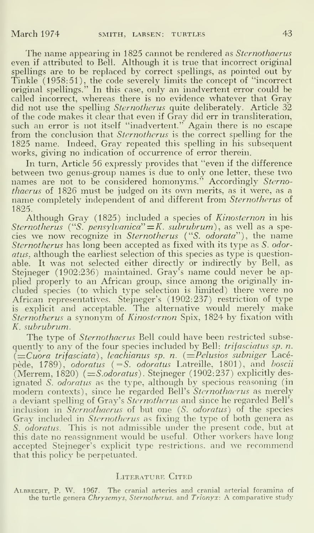The name appearing in 1825 cannot be rendered as Sternothaerus even if attributed to Bell. Although it is true that incorrect original spellings are to be replaced by correct spellings, as pointed out by Tinkle (1958:51), the code severely limits the concept of "incorrect original spellings." In this case, only an inadvertent error could be called incorrect, whereas there is no evidence whatever that Gray did not use the spelling Sternotherus quite deliberately. Article 32 of the code makes it clear that even if Gray did err in transliteration, such an error is not itself "inadvertent." Again there is no escape from the conclusion that *Sternotherus* is the correct spelling for the 1825 name. Indeed, Gray repeated this spelling in his subsequent works, giving no indication of occurrence of error therein.

In turn. Article 56 expressly provides that "even if the difference between two genus-group names is due to only one letter, these two the state of  $\sim$ names are not to be considered homonyms.'' Accordingly S*tern*othaerus of 1826 must be judged on its own merits, as it were, as a name completely independent of and different from Sternotherus of 1825.

Although Gray (1825) included a species of Kinosternon in his Sternotherus ("S. pensylvanica" = K. subrubrum), as well as a species we now recognize in Sternotherus ("5. odorata"), the name Sternotherus has long been accepted as fixed with its type as S. odoratus, although the earliest selection of this species as type is questionable. It was not selected either directly or indirectly by Bell, as Stejneger (1902:236) maintained. Gray's name could never be applied properly to an African group, since among the originally in cluded species (to which type selection is limited) there were no African representatives. Stejneger's (1902:237) restriction of type is explicit and acceptable. The alternative would merely make *Sternotherus* a synonym of *Kinosternon S*pix, 1824 by fixation with K. subrubrum.

The type of Sternothaerus Bell could have been restricted subsequently to any of the four species included by Bell: trifasciatus sp. n.  $(=Cuora trifasciata)$ , leachianus sp. n.  $(=Pelusios subniger$  Lacépède, 1789), odoratus (=S. odoratus Latreille, 1801), and boscii (Merrem,  $1820$ ) (=S.odoratus). Stejneger (1902:237) explicitly designated S. odoratus as the type, although by specious reasoning (in modern contexts), since he regarded Bell's Sternothaerus as merely a deviant spelling of Gray's Sternotherus and since he regarded Bell's inclusion in Sternothaerus of but one (S. odoratus) of the species Gray included in *Sternotherus* as fixing the type of both genera as S. *odoratus*. This is not admissible under the present code, but at this date no reassignment would be useful. Other workers have long accepted Stejneger's explicit type restrictions, and we recommend that this policy be perpetuated.

#### LITERATURE CITED

ALBRECHT, P. W. 1967. The cranial arteries and cranial arterial foramina of the turtle genera Chrysemys, Sternotherus, and Trionyx: A comparative study